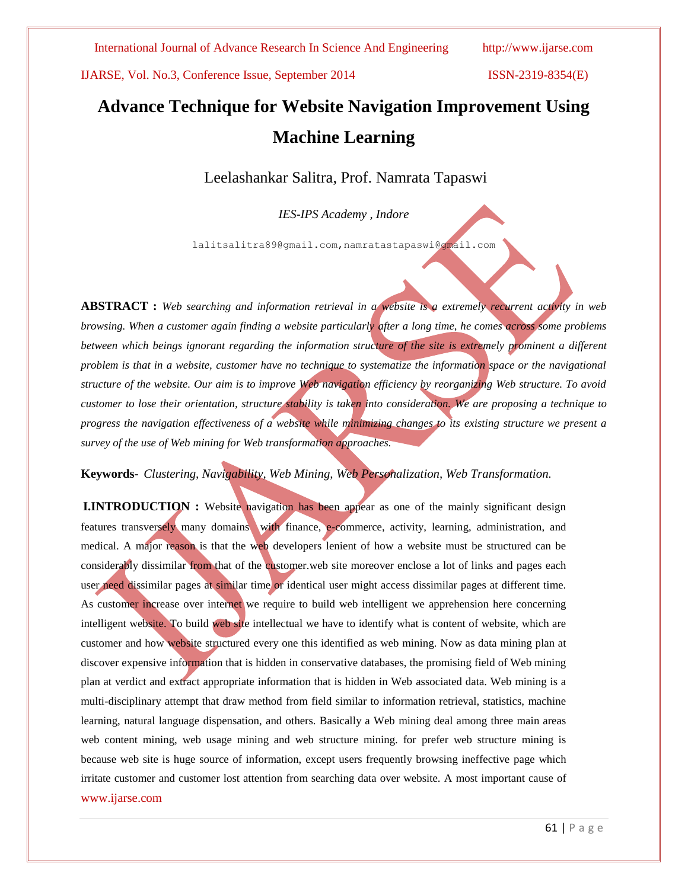# **Advance Technique for Website Navigation Improvement Using Machine Learning**

Leelashankar Salitra, Prof. Namrata Tapaswi

*IES-IPS Academy , Indore* 

lalitsalitra89@gmail.com,namratastapaswi@gmail.com

**ABSTRACT :** *Web searching and information retrieval in a website is a extremely recurrent activity in web browsing. When a customer again finding a website particularly after a long time, he comes across some problems between which beings ignorant regarding the information structure of the site is extremely prominent a different problem is that in a website, customer have no technique to systematize the information space or the navigational structure of the website. Our aim is to improve Web navigation efficiency by reorganizing Web structure. To avoid customer to lose their orientation, structure stability is taken into consideration. We are proposing a technique to progress the navigation effectiveness of a website while minimizing changes to its existing structure we present a survey of the use of Web mining for Web transformation approaches.*

# **Keywords***- Clustering, Navigability, Web Mining, Web Personalization, Web Transformation.*

www.ijarse.com **I.INTRODUCTION** : Website navigation has been appear as one of the mainly significant design features transversely many domains with finance, e-commerce, activity, learning, administration, and medical. A major reason is that the web developers lenient of how a website must be structured can be considerably dissimilar from that of the customer.web site moreover enclose a lot of links and pages each user need dissimilar pages at similar time or identical user might access dissimilar pages at different time. As customer increase over internet we require to build web intelligent we apprehension here concerning intelligent website. To build web site intellectual we have to identify what is content of website, which are customer and how website structured every one this identified as web mining. Now as data mining plan at discover expensive information that is hidden in conservative databases, the promising field of Web mining plan at verdict and extract appropriate information that is hidden in Web associated data. Web mining is a multi-disciplinary attempt that draw method from field similar to information retrieval, statistics, machine learning, natural language dispensation, and others. Basically a Web mining deal among three main areas web content mining, web usage mining and web structure mining. for prefer web structure mining is because web site is huge source of information, except users frequently browsing ineffective page which irritate customer and customer lost attention from searching data over website. A most important cause of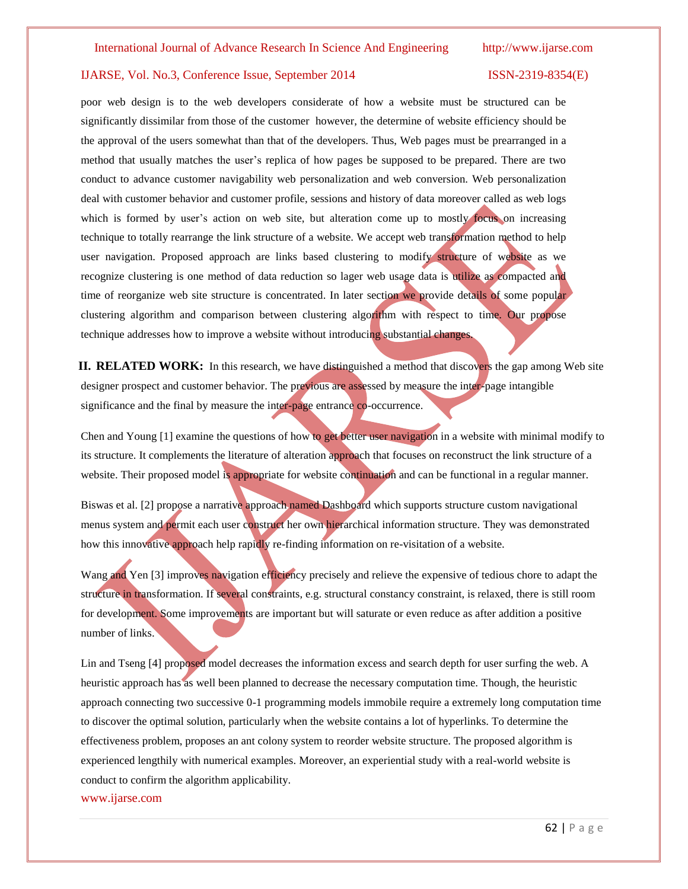poor web design is to the web developers considerate of how a website must be structured can be significantly dissimilar from those of the customer however, the determine of website efficiency should be the approval of the users somewhat than that of the developers. Thus, Web pages must be prearranged in a method that usually matches the user's replica of how pages be supposed to be prepared. There are two conduct to advance customer navigability web personalization and web conversion. Web personalization deal with customer behavior and customer profile, sessions and history of data moreover called as web logs which is formed by user's action on web site, but alteration come up to mostly focus on increasing technique to totally rearrange the link structure of a website. We accept web transformation method to help user navigation. Proposed approach are links based clustering to modify structure of website as we recognize clustering is one method of data reduction so lager web usage data is utilize as compacted and time of reorganize web site structure is concentrated. In later section we provide details of some popular clustering algorithm and comparison between clustering algorithm with respect to time. Our propose technique addresses how to improve a website without introducing substantial changes.

**II. RELATED WORK:** In this research, we have distinguished a method that discovers the gap among Web site designer prospect and customer behavior. The previous are assessed by measure the inter-page intangible significance and the final by measure the inter-page entrance co-occurrence.

Chen and Young [1] examine the questions of how to get better user navigation in a website with minimal modify to its structure. It complements the literature of alteration approach that focuses on reconstruct the link structure of a website. Their proposed model is appropriate for website continuation and can be functional in a regular manner.

Biswas et al. [2] propose a narrative approach named Dashboard which supports structure custom navigational menus system and permit each user construct her own hierarchical information structure. They was demonstrated how this innovative approach help rapidly re-finding information on re-visitation of a website.

Wang and Yen [3] improves navigation efficiency precisely and relieve the expensive of tedious chore to adapt the structure in transformation. If several constraints, e.g. structural constancy constraint, is relaxed, there is still room for development. Some improvements are important but will saturate or even reduce as after addition a positive number of links.

Lin and Tseng [4] proposed model decreases the information excess and search depth for user surfing the web. A heuristic approach has as well been planned to decrease the necessary computation time. Though, the heuristic approach connecting two successive 0-1 programming models immobile require a extremely long computation time to discover the optimal solution, particularly when the website contains a lot of hyperlinks. To determine the effectiveness problem, proposes an ant colony system to reorder website structure. The proposed algorithm is experienced lengthily with numerical examples. Moreover, an experiential study with a real-world website is conduct to confirm the algorithm applicability.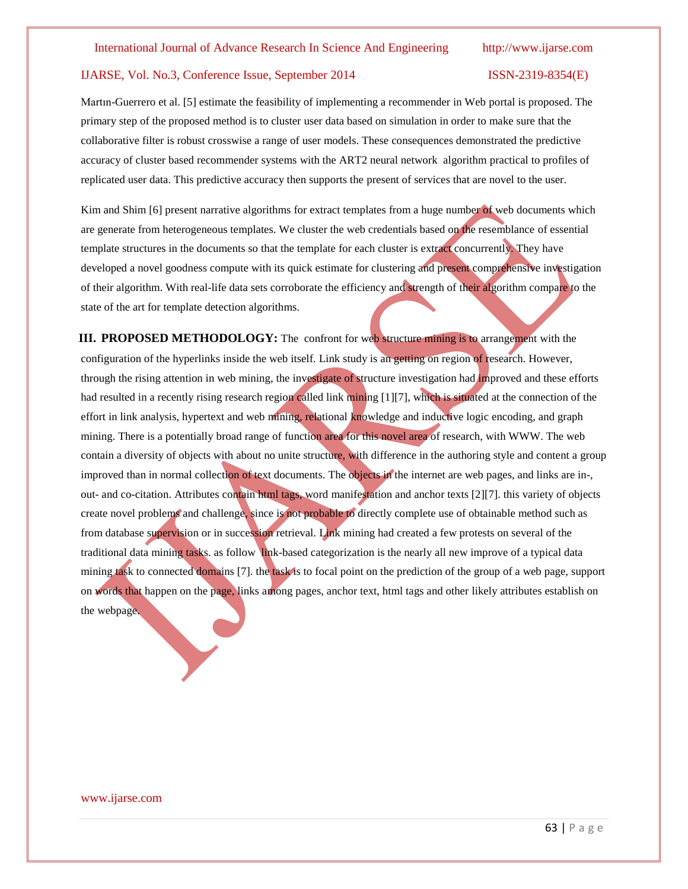Martın-Guerrero et al. [5] estimate the feasibility of implementing a recommender in Web portal is proposed. The primary step of the proposed method is to cluster user data based on simulation in order to make sure that the collaborative filter is robust crosswise a range of user models. These consequences demonstrated the predictive accuracy of cluster based recommender systems with the ART2 neural network algorithm practical to profiles of replicated user data. This predictive accuracy then supports the present of services that are novel to the user.

Kim and Shim [6] present narrative algorithms for extract templates from a huge number of web documents which are generate from heterogeneous templates. We cluster the web credentials based on the resemblance of essential template structures in the documents so that the template for each cluster is extract concurrently. They have developed a novel goodness compute with its quick estimate for clustering and present comprehensive investigation of their algorithm. With real-life data sets corroborate the efficiency and strength of their algorithm compare to the state of the art for template detection algorithms.

**III. PROPOSED METHODOLOGY:** The confront for web structure mining is to arrangement with the configuration of the hyperlinks inside the web itself. Link study is an getting on region of research. However, through the rising attention in web mining, the investigate of structure investigation had improved and these efforts had resulted in a recently rising research region called link mining [1][7], which is situated at the connection of the effort in link analysis, hypertext and web mining, relational knowledge and inductive logic encoding, and graph mining. There is a potentially broad range of function area for this novel area of research, with WWW. The web contain a diversity of objects with about no unite structure, with difference in the authoring style and content a group improved than in normal collection of text documents. The objects in the internet are web pages, and links are in-, out- and co-citation. Attributes contain html tags, word manifestation and anchor texts [2][7]. this variety of objects create novel problems and challenge, since is not probable to directly complete use of obtainable method such as from database supervision or in succession retrieval. Link mining had created a few protests on several of the traditional data mining tasks. as follow link-based categorization is the nearly all new improve of a typical data mining task to connected domains [7]. the task is to focal point on the prediction of the group of a web page, support on words that happen on the page, links among pages, anchor text, html tags and other likely attributes establish on the webpage.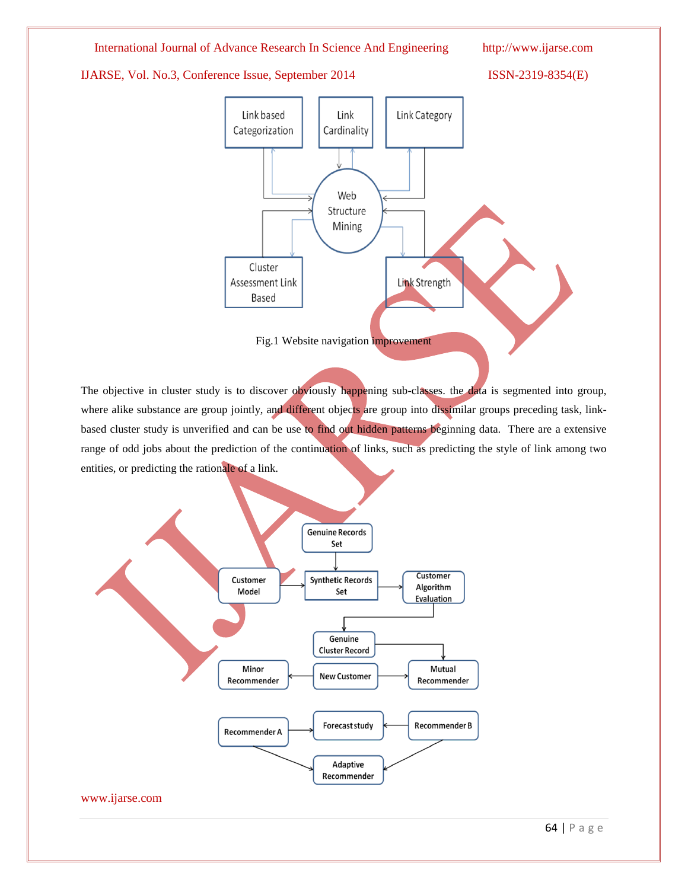# International Journal of Advance Research In Science And Engineering http://www.ijarse.com

# IJARSE, Vol. No.3, Conference Issue, September 2014 ISSN-2319-8354(E)



Fig.1 Website navigation improvement

The objective in cluster study is to discover obviously happening sub-classes. the data is segmented into group, where alike substance are group jointly, and different objects are group into dissimilar groups preceding task, linkbased cluster study is unverified and can be use to find out hidden patterns beginning data. There are a extensive range of odd jobs about the prediction of the continuation of links, such as predicting the style of link among two entities, or predicting the rationale of a link.

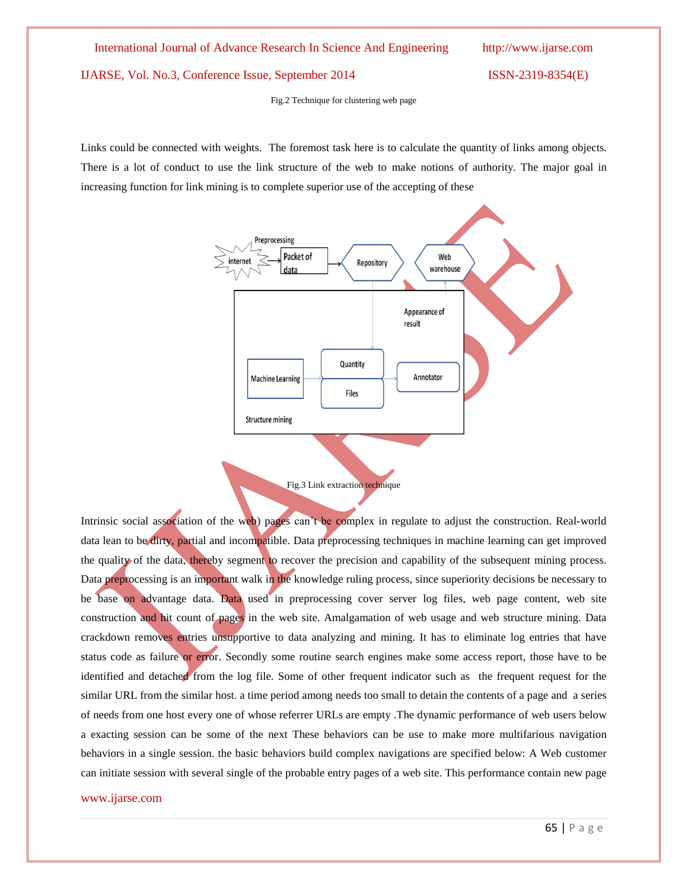Fig.2 Technique for clustering web page

Links could be connected with weights. The foremost task here is to calculate the quantity of links among objects. There is a lot of conduct to use the link structure of the web to make notions of authority. The major goal in increasing function for link mining is to complete superior use of the accepting of these





Intrinsic social association of the web) pages can't be complex in regulate to adjust the construction. Real-world data lean to be dirty, partial and incompatible. Data preprocessing techniques in machine learning can get improved the quality of the data, thereby segment to recover the precision and capability of the subsequent mining process. Data preprocessing is an important walk in the knowledge ruling process, since superiority decisions be necessary to be base on advantage data. Data used in preprocessing cover server log files, web page content, web site construction and hit count of pages in the web site. Amalgamation of web usage and web structure mining. Data crackdown removes entries unsupportive to data analyzing and mining. It has to eliminate log entries that have status code as failure or error. Secondly some routine search engines make some access report, those have to be identified and detached from the log file. Some of other frequent indicator such as the frequent request for the similar URL from the similar host. a time period among needs too small to detain the contents of a page and a series of needs from one host every one of whose referrer URLs are empty .The dynamic performance of web users below a exacting session can be some of the next These behaviors can be use to make more multifarious navigation behaviors in a single session. the basic behaviors build complex navigations are specified below: A Web customer can initiate session with several single of the probable entry pages of a web site. This performance contain new page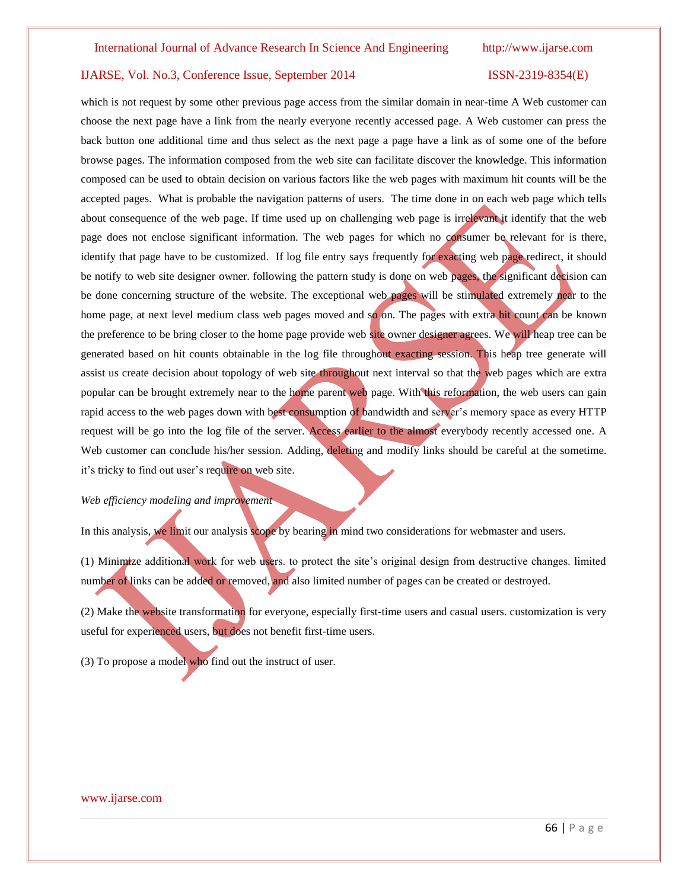which is not request by some other previous page access from the similar domain in near-time A Web customer can choose the next page have a link from the nearly everyone recently accessed page. A Web customer can press the back button one additional time and thus select as the next page a page have a link as of some one of the before browse pages. The information composed from the web site can facilitate discover the knowledge. This information composed can be used to obtain decision on various factors like the web pages with maximum hit counts will be the accepted pages. What is probable the navigation patterns of users. The time done in on each web page which tells about consequence of the web page. If time used up on challenging web page is irrelevant it identify that the web page does not enclose significant information. The web pages for which no consumer be relevant for is there, identify that page have to be customized. If log file entry says frequently for exacting web page redirect, it should be notify to web site designer owner. following the pattern study is done on web pages, the significant decision can be done concerning structure of the website. The exceptional web pages will be stimulated extremely near to the home page, at next level medium class web pages moved and so on. The pages with extra hit count can be known the preference to be bring closer to the home page provide web site owner designer agrees. We will heap tree can be generated based on hit counts obtainable in the log file throughout exacting session. This heap tree generate will assist us create decision about topology of web site throughout next interval so that the web pages which are extra popular can be brought extremely near to the home parent web page. With this reformation, the web users can gain rapid access to the web pages down with best consumption of bandwidth and server's memory space as every HTTP request will be go into the log file of the server. Access earlier to the almost everybody recently accessed one. A Web customer can conclude his/her session. Adding, deleting and modify links should be careful at the sometime. it's tricky to find out user's require on web site.

### *Web efficiency modeling and improvement*

In this analysis, we limit our analysis scope by bearing in mind two considerations for webmaster and users.

(1) Minimize additional work for web users. to protect the site's original design from destructive changes. limited number of links can be added or removed, and also limited number of pages can be created or destroyed.

(2) Make the website transformation for everyone, especially first-time users and casual users. customization is very useful for experienced users, but does not benefit first-time users.

(3) To propose a model who find out the instruct of user.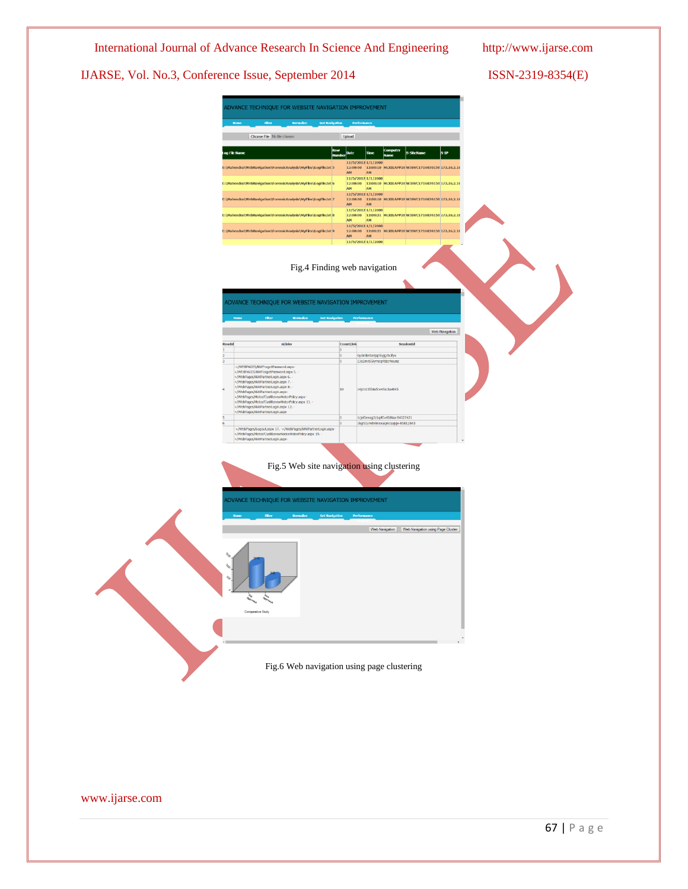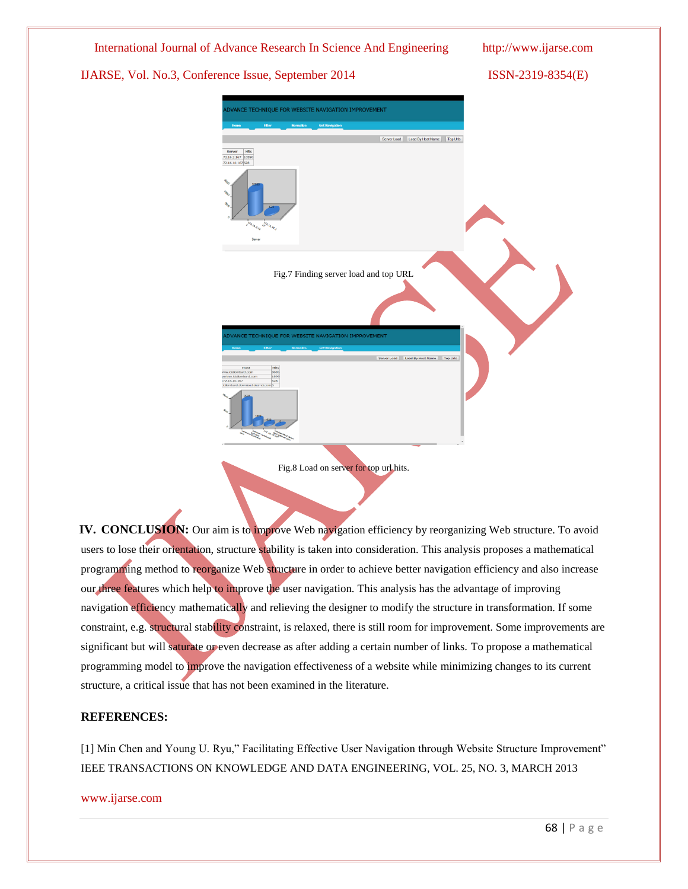

**IV. CONCLUSION:** Our aim is to improve Web navigation efficiency by reorganizing Web structure. To avoid users to lose their orientation, structure stability is taken into consideration. This analysis proposes a mathematical programming method to reorganize Web structure in order to achieve better navigation efficiency and also increase our three features which help to improve the user navigation. This analysis has the advantage of improving navigation efficiency mathematically and relieving the designer to modify the structure in transformation. If some constraint, e.g. structural stability constraint, is relaxed, there is still room for improvement. Some improvements are significant but will saturate or even decrease as after adding a certain number of links. To propose a mathematical programming model to improve the navigation effectiveness of a website while minimizing changes to its current structure, a critical issue that has not been examined in the literature.

# **REFERENCES:**

[1] Min Chen and Young U. Ryu," Facilitating Effective User Navigation through Website Structure Improvement" IEEE TRANSACTIONS ON KNOWLEDGE AND DATA ENGINEERING, VOL. 25, NO. 3, MARCH 2013